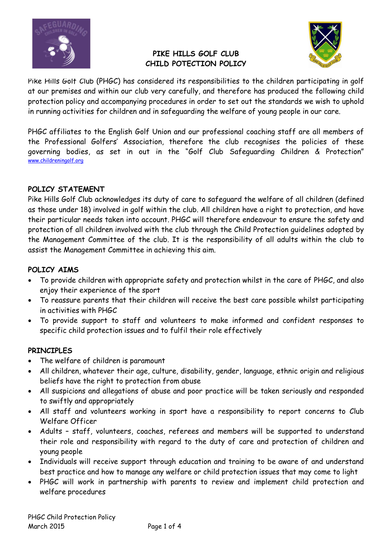

### PIKE HILLS GOLF CLUB CHILD POTECTION POLICY



Pike Hills Golf Club (PHGC) has considered its responsibilities to the children participating in golf at our premises and within our club very carefully, and therefore has produced the following child protection policy and accompanying procedures in order to set out the standards we wish to uphold in running activities for children and in safeguarding the welfare of young people in our care.

PHGC affiliates to the English Golf Union and our professional coaching staff are all members of the Professional Golfers' Association, therefore the club recognises the policies of these governing bodies, as set in out in the "Golf Club Safeguarding Children & Protection" www.childreningolf.org

### POLICY STATEMENT

Pike Hills Golf Club acknowledges its duty of care to safeguard the welfare of all children (defined as those under 18) involved in golf within the club. All children have a right to protection, and have their particular needs taken into account. PHGC will therefore endeavour to ensure the safety and protection of all children involved with the club through the Child Protection guidelines adopted by the Management Committee of the club. It is the responsibility of all adults within the club to assist the Management Committee in achieving this aim.

#### POLICY AIMS

- To provide children with appropriate safety and protection whilst in the care of PHGC, and also enjoy their experience of the sport
- To reassure parents that their children will receive the best care possible whilst participating in activities with PHGC
- To provide support to staff and volunteers to make informed and confident responses to specific child protection issues and to fulfil their role effectively

### PRINCIPLES

- The welfare of children is paramount
- All children, whatever their age, culture, disability, gender, language, ethnic origin and religious beliefs have the right to protection from abuse
- All suspicions and allegations of abuse and poor practice will be taken seriously and responded to swiftly and appropriately
- All staff and volunteers working in sport have a responsibility to report concerns to Club Welfare Officer
- Adults staff, volunteers, coaches, referees and members will be supported to understand their role and responsibility with regard to the duty of care and protection of children and young people
- Individuals will receive support through education and training to be aware of and understand best practice and how to manage any welfare or child protection issues that may come to light
- PHGC will work in partnership with parents to review and implement child protection and welfare procedures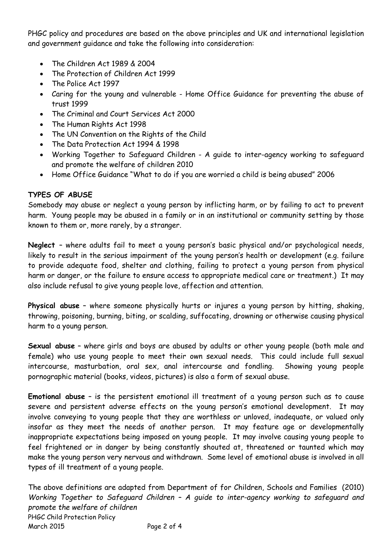PHGC policy and procedures are based on the above principles and UK and international legislation and government guidance and take the following into consideration:

- The Children Act 1989 & 2004
- The Protection of Children Act 1999
- The Police Act 1997
- Caring for the young and vulnerable Home Office Guidance for preventing the abuse of trust 1999
- The Criminal and Court Services Act 2000
- The Human Rights Act 1998
- The UN Convention on the Rights of the Child
- The Data Protection Act 1994 & 1998
- Working Together to Safeguard Children A guide to inter-agency working to safeguard and promote the welfare of children 2010
- Home Office Guidance "What to do if you are worried a child is being abused" 2006

### TYPES OF ABUSE

Somebody may abuse or neglect a young person by inflicting harm, or by failing to act to prevent harm. Young people may be abused in a family or in an institutional or community setting by those known to them or, more rarely, by a stranger.

Neglect – where adults fail to meet a young person's basic physical and/or psychological needs, likely to result in the serious impairment of the young person's health or development (e.g. failure to provide adequate food, shelter and clothing, failing to protect a young person from physical harm or danger, or the failure to ensure access to appropriate medical care or treatment.) It may also include refusal to give young people love, affection and attention.

Physical abuse - where someone physically hurts or injures a young person by hitting, shaking, throwing, poisoning, burning, biting, or scalding, suffocating, drowning or otherwise causing physical harm to a young person.

Sexual abuse – where girls and boys are abused by adults or other young people (both male and female) who use young people to meet their own sexual needs. This could include full sexual intercourse, masturbation, oral sex, anal intercourse and fondling. Showing young people pornographic material (books, videos, pictures) is also a form of sexual abuse.

Emotional abuse – is the persistent emotional ill treatment of a young person such as to cause severe and persistent adverse effects on the young person's emotional development. It may involve conveying to young people that they are worthless or unloved, inadequate, or valued only insofar as they meet the needs of another person. It may feature age or developmentally inappropriate expectations being imposed on young people. It may involve causing young people to feel frightened or in danger by being constantly shouted at, threatened or taunted which may make the young person very nervous and withdrawn. Some level of emotional abuse is involved in all types of ill treatment of a young people.

PHGC Child Protection Policy March 2015 Page 2 of 4 The above definitions are adapted from Department of for Children, Schools and Families (2010) Working Together to Safeguard Children – A guide to inter-agency working to safeguard and promote the welfare of children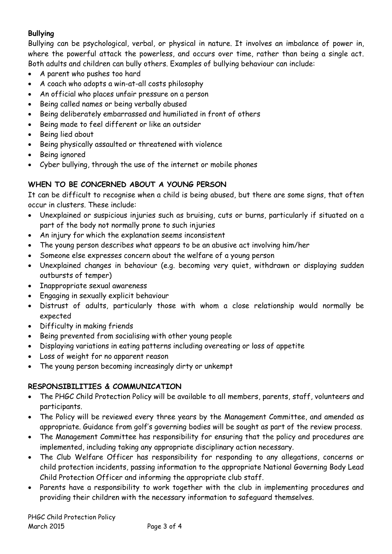# Bullying

Bullying can be psychological, verbal, or physical in nature. It involves an imbalance of power in, where the powerful attack the powerless, and occurs over time, rather than being a single act. Both adults and children can bully others. Examples of bullying behaviour can include:

- A parent who pushes too hard
- A coach who adopts a win-at-all costs philosophy
- An official who places unfair pressure on a person
- Being called names or being verbally abused
- Being deliberately embarrassed and humiliated in front of others
- Being made to feel different or like an outsider
- Being lied about
- Being physically assaulted or threatened with violence
- Being ignored
- Cyber bullying, through the use of the internet or mobile phones

## WHEN TO BE CONCERNED ABOUT A YOUNG PERSON

It can be difficult to recognise when a child is being abused, but there are some signs, that often occur in clusters. These include:

- Unexplained or suspicious injuries such as bruising, cuts or burns, particularly if situated on a part of the body not normally prone to such injuries
- An injury for which the explanation seems inconsistent
- The young person describes what appears to be an abusive act involving him/her
- Someone else expresses concern about the welfare of a young person
- Unexplained changes in behaviour (e.g. becoming very quiet, withdrawn or displaying sudden outbursts of temper)
- Inappropriate sexual awareness
- Engaging in sexually explicit behaviour
- Distrust of adults, particularly those with whom a close relationship would normally be expected
- Difficulty in making friends
- Being prevented from socialising with other young people
- Displaying variations in eating patterns including overeating or loss of appetite
- Loss of weight for no apparent reason
- The young person becoming increasingly dirty or unkempt

### RESPONSIBILITIES & COMMUNICATION

- The PHGC Child Protection Policy will be available to all members, parents, staff, volunteers and participants.
- The Policy will be reviewed every three years by the Management Committee, and amended as appropriate. Guidance from golf's governing bodies will be sought as part of the review process.
- The Management Committee has responsibility for ensuring that the policy and procedures are implemented, including taking any appropriate disciplinary action necessary.
- The Club Welfare Officer has responsibility for responding to any allegations, concerns or child protection incidents, passing information to the appropriate National Governing Body Lead Child Protection Officer and informing the appropriate club staff.
- Parents have a responsibility to work together with the club in implementing procedures and providing their children with the necessary information to safeguard themselves.